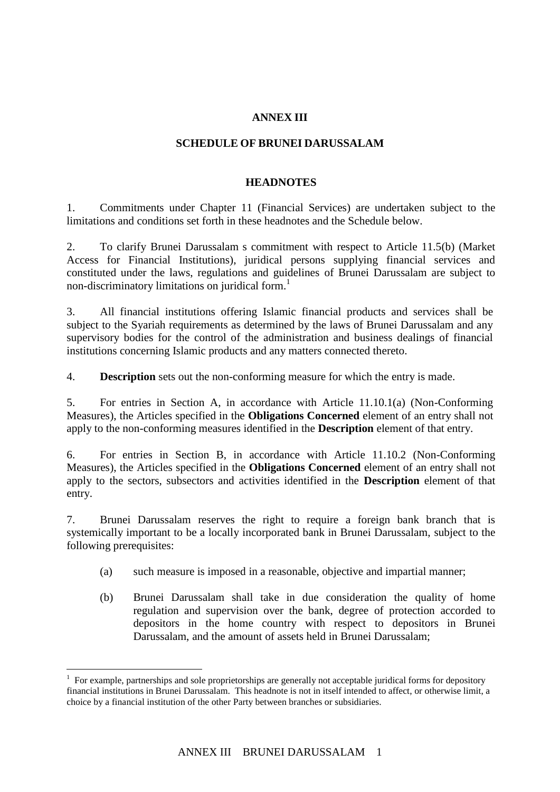### **ANNEX III**

### **SCHEDULE OF BRUNEI DARUSSALAM**

#### **HEADNOTES**

1. Commitments under Chapter 11 (Financial Services) are undertaken subject to the limitations and conditions set forth in these headnotes and the Schedule below.

2. To clarify Brunei Darussalam s commitment with respect to Article 11.5(b) (Market Access for Financial Institutions), juridical persons supplying financial services and constituted under the laws, regulations and guidelines of Brunei Darussalam are subject to non-discriminatory limitations on juridical form. 1

3. All financial institutions offering Islamic financial products and services shall be subject to the Syariah requirements as determined by the laws of Brunei Darussalam and any supervisory bodies for the control of the administration and business dealings of financial institutions concerning Islamic products and any matters connected thereto.

4. **Description** sets out the non-conforming measure for which the entry is made.

5. For entries in Section A, in accordance with Article 11.10.1(a) (Non-Conforming Measures), the Articles specified in the **Obligations Concerned** element of an entry shall not apply to the non-conforming measures identified in the **Description** element of that entry.

6. For entries in Section B, in accordance with Article 11.10.2 (Non-Conforming Measures), the Articles specified in the **Obligations Concerned** element of an entry shall not apply to the sectors, subsectors and activities identified in the **Description** element of that entry.

7. Brunei Darussalam reserves the right to require a foreign bank branch that is systemically important to be a locally incorporated bank in Brunei Darussalam, subject to the following prerequisites:

- (a) such measure is imposed in a reasonable, objective and impartial manner;
- (b) Brunei Darussalam shall take in due consideration the quality of home regulation and supervision over the bank, degree of protection accorded to depositors in the home country with respect to depositors in Brunei Darussalam, and the amount of assets held in Brunei Darussalam;

 $\overline{a}$ 

 $1$  For example, partnerships and sole proprietorships are generally not acceptable juridical forms for depository financial institutions in Brunei Darussalam. This headnote is not in itself intended to affect, or otherwise limit, a choice by a financial institution of the other Party between branches or subsidiaries.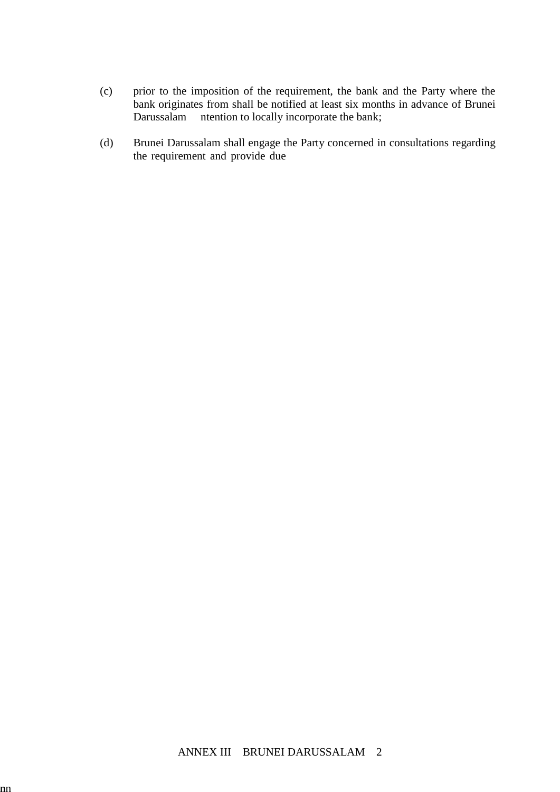- (c) prior to the imposition of the requirement, the bank and the Party where the bank originates from shall be notified at least six months in advance of Brunei Darussalam ntention to locally incorporate the bank;
- (d) Brunei Darussalam shall engage the Party concerned in consultations regarding the requirement and provide due

#### ANNEX III BRUNEI DARUSSALAM 2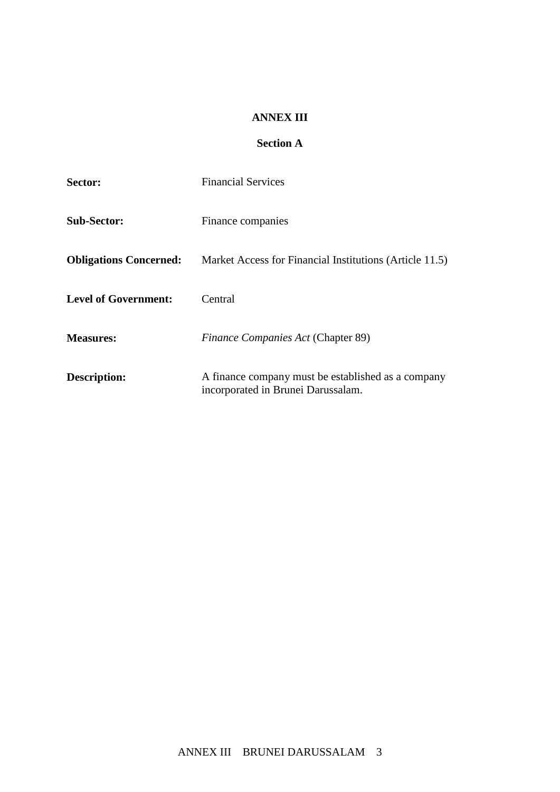#### **ANNEX III**

# **Section A**

| Sector:                       | <b>Financial Services</b>                                                                |  |  |  |  |
|-------------------------------|------------------------------------------------------------------------------------------|--|--|--|--|
| <b>Sub-Sector:</b>            | Finance companies                                                                        |  |  |  |  |
| <b>Obligations Concerned:</b> | Market Access for Financial Institutions (Article 11.5)                                  |  |  |  |  |
| <b>Level of Government:</b>   | Central                                                                                  |  |  |  |  |
| <b>Measures:</b>              | <i>Finance Companies Act (Chapter 89)</i>                                                |  |  |  |  |
| Description:                  | A finance company must be established as a company<br>incorporated in Brunei Darussalam. |  |  |  |  |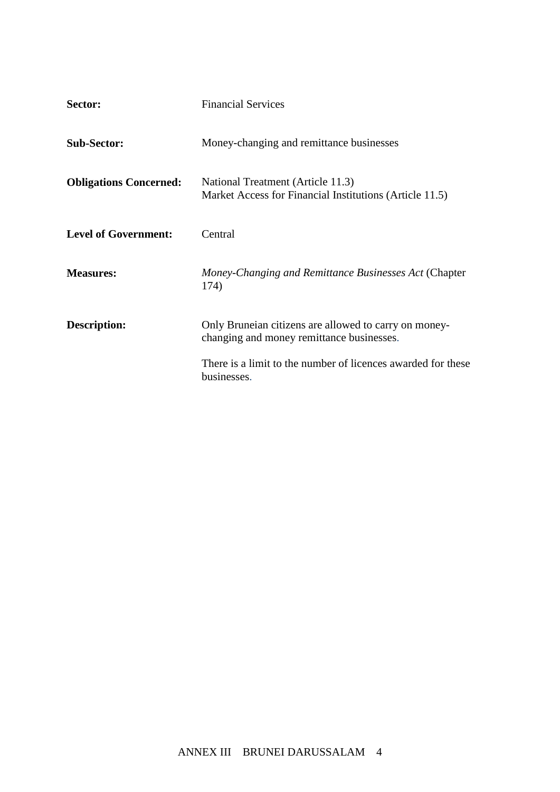| Sector:                       | <b>Financial Services</b>                                                                          |  |  |  |  |
|-------------------------------|----------------------------------------------------------------------------------------------------|--|--|--|--|
| <b>Sub-Sector:</b>            | Money-changing and remittance businesses                                                           |  |  |  |  |
| <b>Obligations Concerned:</b> | National Treatment (Article 11.3)<br>Market Access for Financial Institutions (Article 11.5)       |  |  |  |  |
| <b>Level of Government:</b>   | Central                                                                                            |  |  |  |  |
| <b>Measures:</b>              | Money-Changing and Remittance Businesses Act (Chapter<br>174)                                      |  |  |  |  |
| <b>Description:</b>           | Only Bruneian citizens are allowed to carry on money-<br>changing and money remittance businesses. |  |  |  |  |
|                               | There is a limit to the number of licences awarded for these<br>businesses.                        |  |  |  |  |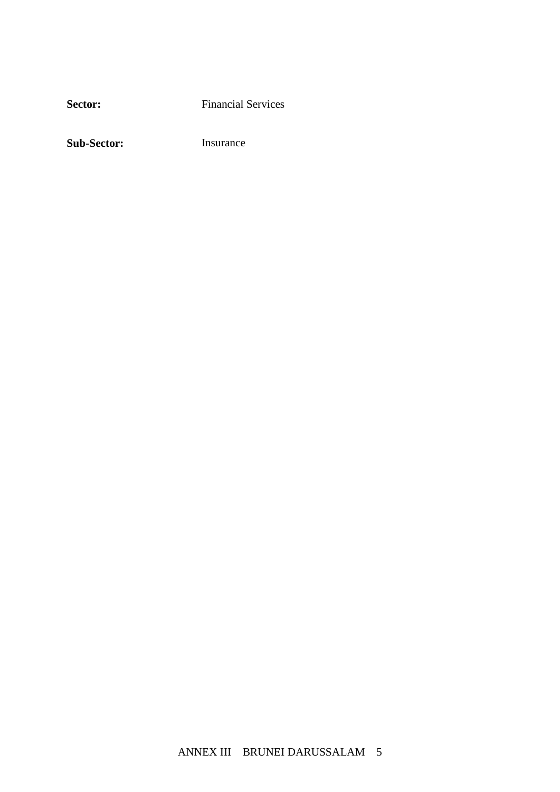**Sector:** Financial Services

**Sub-Sector:** Insurance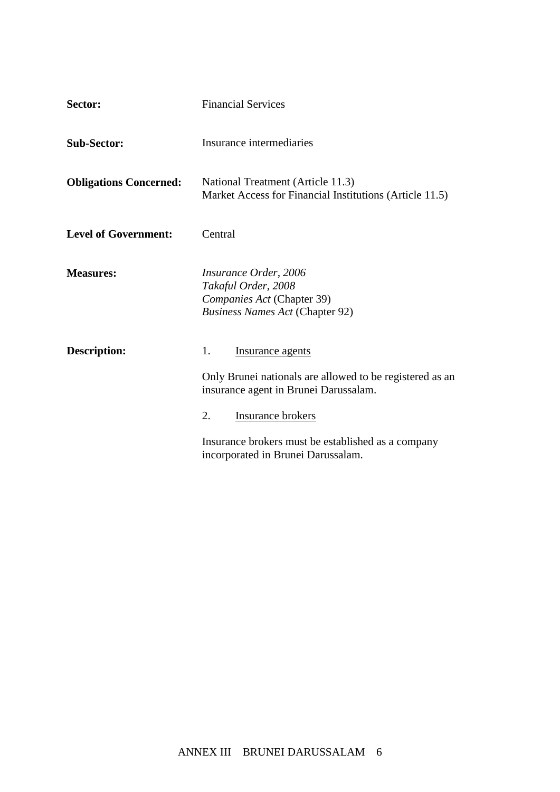| Sector:                       | <b>Financial Services</b>                                                                                                                                                                                    |  |  |  |  |
|-------------------------------|--------------------------------------------------------------------------------------------------------------------------------------------------------------------------------------------------------------|--|--|--|--|
| <b>Sub-Sector:</b>            | Insurance intermediaries                                                                                                                                                                                     |  |  |  |  |
| <b>Obligations Concerned:</b> | National Treatment (Article 11.3)<br>Market Access for Financial Institutions (Article 11.5)                                                                                                                 |  |  |  |  |
| <b>Level of Government:</b>   | Central                                                                                                                                                                                                      |  |  |  |  |
| <b>Measures:</b>              | Insurance Order, 2006<br>Takaful Order, 2008<br>Companies Act (Chapter 39)<br><b>Business Names Act (Chapter 92)</b>                                                                                         |  |  |  |  |
| <b>Description:</b>           | 1.<br>Insurance agents<br>Only Brunei nationals are allowed to be registered as an<br>insurance agent in Brunei Darussalam.<br>2.<br>Insurance brokers<br>Insurance brokers must be established as a company |  |  |  |  |
|                               | incorporated in Brunei Darussalam.                                                                                                                                                                           |  |  |  |  |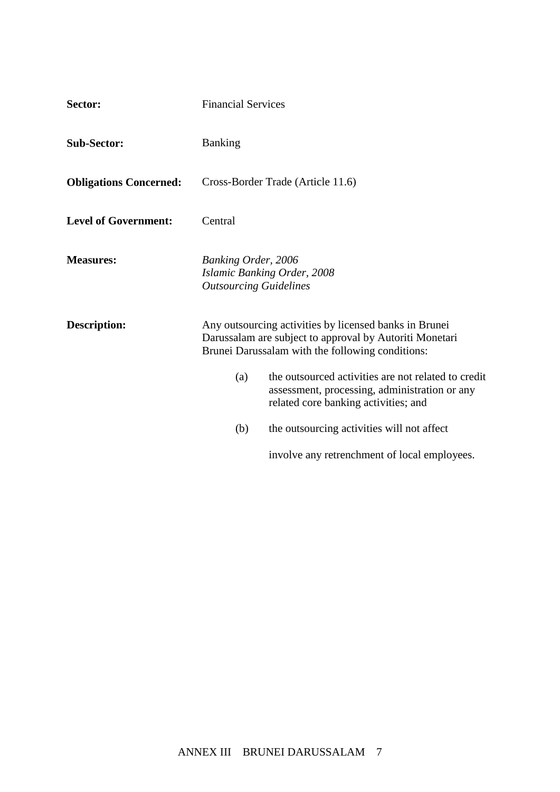| Sector:                       | <b>Financial Services</b>                            |                                                                                                                                                                                                                              |  |  |  |  |  |  |
|-------------------------------|------------------------------------------------------|------------------------------------------------------------------------------------------------------------------------------------------------------------------------------------------------------------------------------|--|--|--|--|--|--|
| <b>Sub-Sector:</b>            | <b>Banking</b>                                       |                                                                                                                                                                                                                              |  |  |  |  |  |  |
| <b>Obligations Concerned:</b> |                                                      | Cross-Border Trade (Article 11.6)                                                                                                                                                                                            |  |  |  |  |  |  |
| <b>Level of Government:</b>   | Central                                              |                                                                                                                                                                                                                              |  |  |  |  |  |  |
| <b>Measures:</b>              | Banking Order, 2006<br><b>Outsourcing Guidelines</b> | <b>Islamic Banking Order, 2008</b>                                                                                                                                                                                           |  |  |  |  |  |  |
| <b>Description:</b>           | (a)                                                  | Any outsourcing activities by licensed banks in Brunei<br>Darussalam are subject to approval by Autoriti Monetari<br>Brunei Darussalam with the following conditions:<br>the outsourced activities are not related to credit |  |  |  |  |  |  |
|                               |                                                      | assessment, processing, administration or any<br>related core banking activities; and                                                                                                                                        |  |  |  |  |  |  |
|                               | (b)                                                  | the outsourcing activities will not affect                                                                                                                                                                                   |  |  |  |  |  |  |
|                               |                                                      | involve any retrenchment of local employees.                                                                                                                                                                                 |  |  |  |  |  |  |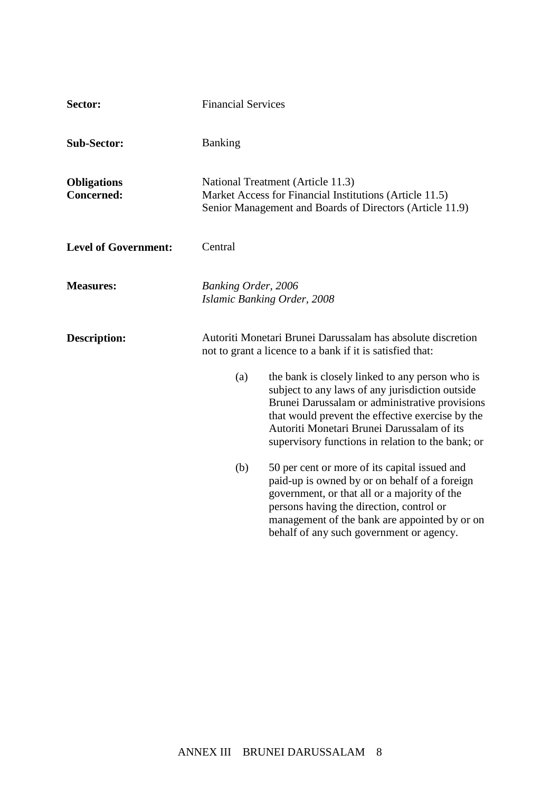| Sector:                                 | <b>Financial Services</b>                                                                                                                                |                                                                                                                                                                                                                                                                                                             |  |  |  |  |  |
|-----------------------------------------|----------------------------------------------------------------------------------------------------------------------------------------------------------|-------------------------------------------------------------------------------------------------------------------------------------------------------------------------------------------------------------------------------------------------------------------------------------------------------------|--|--|--|--|--|
| <b>Sub-Sector:</b>                      | <b>Banking</b>                                                                                                                                           |                                                                                                                                                                                                                                                                                                             |  |  |  |  |  |
| <b>Obligations</b><br><b>Concerned:</b> | National Treatment (Article 11.3)<br>Market Access for Financial Institutions (Article 11.5)<br>Senior Management and Boards of Directors (Article 11.9) |                                                                                                                                                                                                                                                                                                             |  |  |  |  |  |
| <b>Level of Government:</b>             | Central                                                                                                                                                  |                                                                                                                                                                                                                                                                                                             |  |  |  |  |  |
| <b>Measures:</b>                        | Banking Order, 2006<br><b>Islamic Banking Order, 2008</b>                                                                                                |                                                                                                                                                                                                                                                                                                             |  |  |  |  |  |
| <b>Description:</b>                     |                                                                                                                                                          | Autoriti Monetari Brunei Darussalam has absolute discretion<br>not to grant a licence to a bank if it is satisfied that:                                                                                                                                                                                    |  |  |  |  |  |
|                                         | (a)                                                                                                                                                      | the bank is closely linked to any person who is<br>subject to any laws of any jurisdiction outside<br>Brunei Darussalam or administrative provisions<br>that would prevent the effective exercise by the<br>Autoriti Monetari Brunei Darussalam of its<br>supervisory functions in relation to the bank; or |  |  |  |  |  |
|                                         | (b)                                                                                                                                                      | 50 per cent or more of its capital issued and<br>paid-up is owned by or on behalf of a foreign<br>government, or that all or a majority of the<br>persons having the direction, control or<br>management of the bank are appointed by or on<br>behalf of any such government or agency.                     |  |  |  |  |  |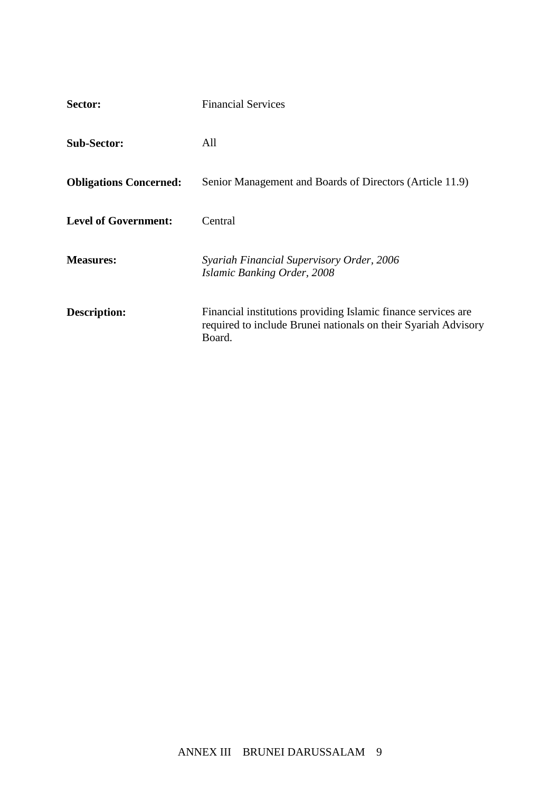| Sector:                       | <b>Financial Services</b>                                                                                                                 |
|-------------------------------|-------------------------------------------------------------------------------------------------------------------------------------------|
| <b>Sub-Sector:</b>            | All                                                                                                                                       |
| <b>Obligations Concerned:</b> | Senior Management and Boards of Directors (Article 11.9)                                                                                  |
| <b>Level of Government:</b>   | Central                                                                                                                                   |
| <b>Measures:</b>              | Syariah Financial Supervisory Order, 2006<br>Islamic Banking Order, 2008                                                                  |
| <b>Description:</b>           | Financial institutions providing Islamic finance services are<br>required to include Brunei nationals on their Syariah Advisory<br>Board. |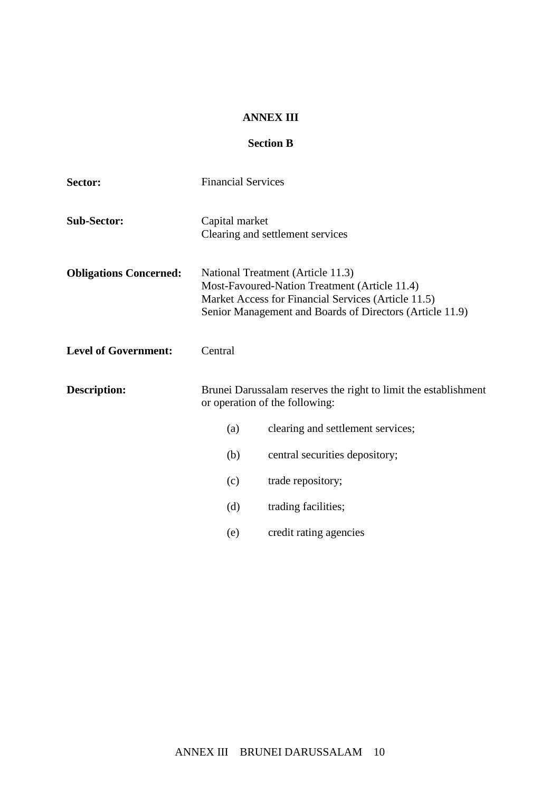#### **ANNEX III**

# **Section B**

|                                      | <b>ANNEX III</b>                                                                                                                                                                                                                    |  |  |  |  |  |
|--------------------------------------|-------------------------------------------------------------------------------------------------------------------------------------------------------------------------------------------------------------------------------------|--|--|--|--|--|
|                                      | <b>Section B</b>                                                                                                                                                                                                                    |  |  |  |  |  |
| <b>Sector:</b><br><b>Sub-Sector:</b> | <b>Financial Services</b><br>Capital market                                                                                                                                                                                         |  |  |  |  |  |
|                                      | Clearing and settlement services                                                                                                                                                                                                    |  |  |  |  |  |
|                                      | <b>Obligations Concerned:</b> National Treatment (Article 11.3)<br>Most-Favoured-Nation Treatment (Article 11.4)<br>Market Access for Financial Services (Article 11.5)<br>Senior Management and Boards of Directors (Article 11.9) |  |  |  |  |  |
| Level of Government: Central         |                                                                                                                                                                                                                                     |  |  |  |  |  |
| <b>Description:</b>                  | Brunei Darussalam reserves the right to limit the establishment<br>or operation of the following:                                                                                                                                   |  |  |  |  |  |
|                                      | (a) clearing and settlement services;                                                                                                                                                                                               |  |  |  |  |  |
|                                      | (b) central securities depository;<br>(c) trade repository;                                                                                                                                                                         |  |  |  |  |  |
|                                      | (d) trading facilities;                                                                                                                                                                                                             |  |  |  |  |  |
|                                      | (e) credit rating agencies                                                                                                                                                                                                          |  |  |  |  |  |
|                                      |                                                                                                                                                                                                                                     |  |  |  |  |  |
|                                      |                                                                                                                                                                                                                                     |  |  |  |  |  |
|                                      |                                                                                                                                                                                                                                     |  |  |  |  |  |
|                                      |                                                                                                                                                                                                                                     |  |  |  |  |  |
|                                      | ANNEX III BRUNEI DARUSSALAM 10                                                                                                                                                                                                      |  |  |  |  |  |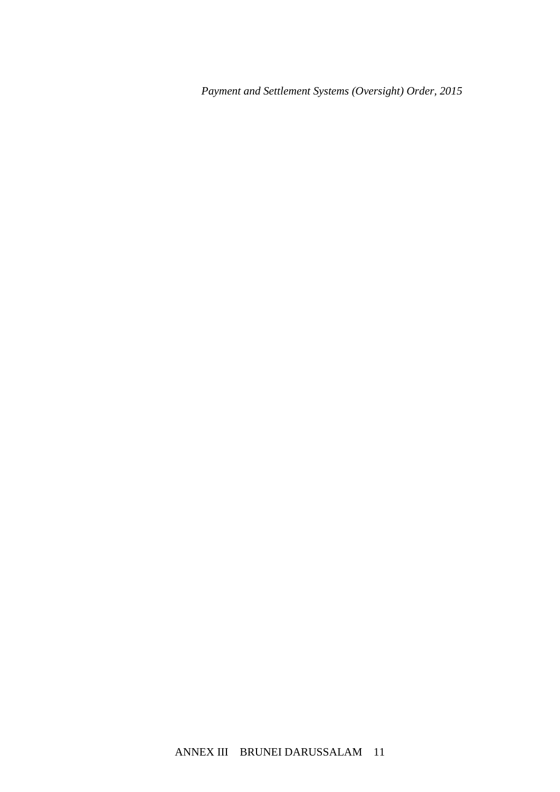*Payment and Settlement Systems (Oversight) Order, 2015*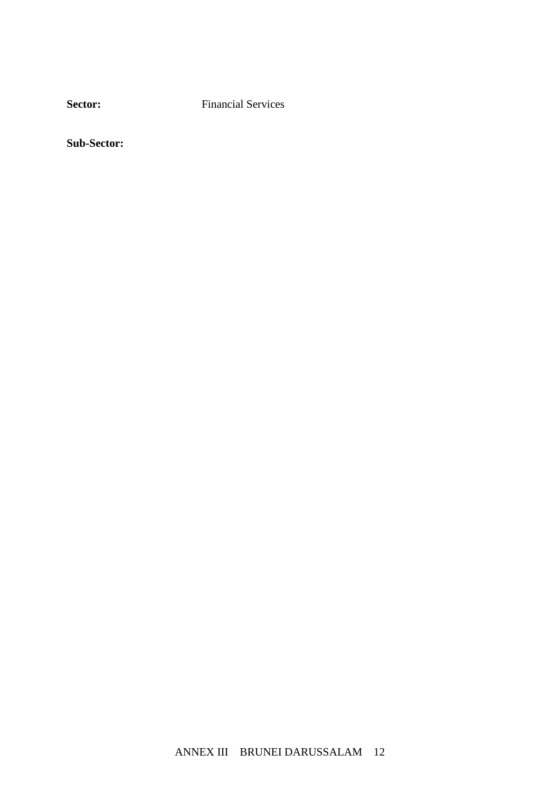**Sector:** Financial Services

**Sub-Sector:**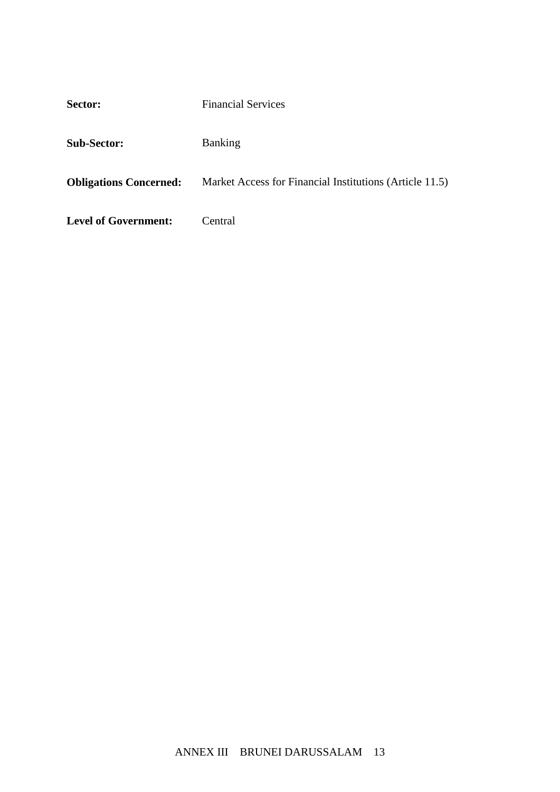| Sector:                       | <b>Financial Services</b>                               |
|-------------------------------|---------------------------------------------------------|
| <b>Sub-Sector:</b>            | <b>Banking</b>                                          |
| <b>Obligations Concerned:</b> | Market Access for Financial Institutions (Article 11.5) |
| <b>Level of Government:</b>   | Central                                                 |